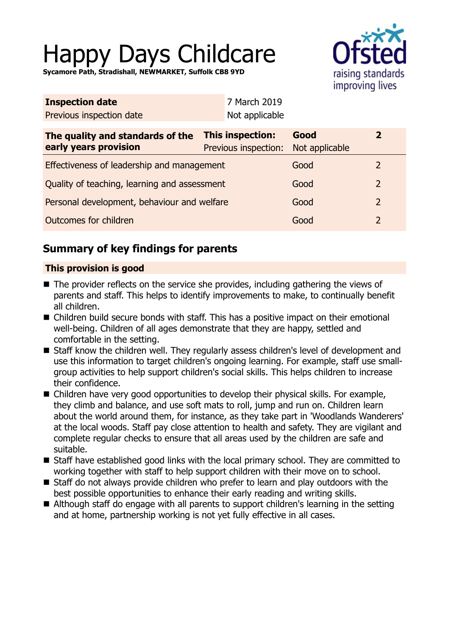# Happy Days Childcare

**Sycamore Path, Stradishall, NEWMARKET, Suffolk CB8 9YD**



| <b>Inspection date</b>                                    | 7 March 2019                             |                        |                |  |
|-----------------------------------------------------------|------------------------------------------|------------------------|----------------|--|
| Previous inspection date                                  | Not applicable                           |                        |                |  |
| The quality and standards of the<br>early years provision | This inspection:<br>Previous inspection: | Good<br>Not applicable | $\overline{2}$ |  |
| Effectiveness of leadership and management                |                                          | Good                   | 2              |  |
| Quality of teaching, learning and assessment              |                                          | Good                   | $\overline{2}$ |  |
| Personal development, behaviour and welfare               |                                          | Good                   | $\overline{2}$ |  |
| Outcomes for children                                     |                                          | Good                   | $\overline{2}$ |  |
|                                                           |                                          |                        |                |  |

# **Summary of key findings for parents**

## **This provision is good**

- $\blacksquare$  The provider reflects on the service she provides, including gathering the views of parents and staff. This helps to identify improvements to make, to continually benefit all children.
- Children build secure bonds with staff. This has a positive impact on their emotional well-being. Children of all ages demonstrate that they are happy, settled and comfortable in the setting.
- Staff know the children well. They regularly assess children's level of development and use this information to target children's ongoing learning. For example, staff use smallgroup activities to help support children's social skills. This helps children to increase their confidence.
- Children have very good opportunities to develop their physical skills. For example, they climb and balance, and use soft mats to roll, jump and run on. Children learn about the world around them, for instance, as they take part in 'Woodlands Wanderers' at the local woods. Staff pay close attention to health and safety. They are vigilant and complete regular checks to ensure that all areas used by the children are safe and suitable.
- Staff have established good links with the local primary school. They are committed to working together with staff to help support children with their move on to school.
- Staff do not always provide children who prefer to learn and play outdoors with the best possible opportunities to enhance their early reading and writing skills.
- Although staff do engage with all parents to support children's learning in the setting and at home, partnership working is not yet fully effective in all cases.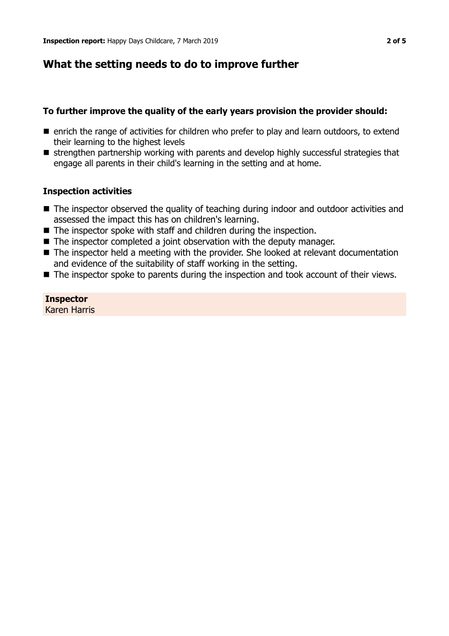## **What the setting needs to do to improve further**

## **To further improve the quality of the early years provision the provider should:**

- $\blacksquare$  enrich the range of activities for children who prefer to play and learn outdoors, to extend their learning to the highest levels
- $\blacksquare$  strengthen partnership working with parents and develop highly successful strategies that engage all parents in their child's learning in the setting and at home.

## **Inspection activities**

- $\blacksquare$  The inspector observed the quality of teaching during indoor and outdoor activities and assessed the impact this has on children's learning.
- $\blacksquare$  The inspector spoke with staff and children during the inspection.
- $\blacksquare$  The inspector completed a joint observation with the deputy manager.
- $\blacksquare$  The inspector held a meeting with the provider. She looked at relevant documentation and evidence of the suitability of staff working in the setting.
- $\blacksquare$  The inspector spoke to parents during the inspection and took account of their views.

## **Inspector**

Karen Harris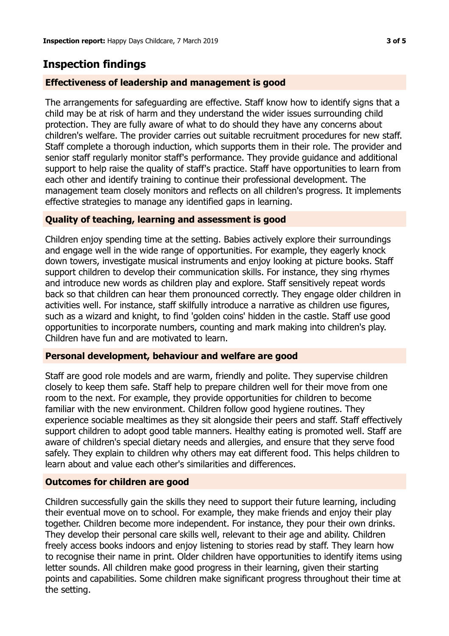## **Inspection findings**

## **Effectiveness of leadership and management is good**

The arrangements for safeguarding are effective. Staff know how to identify signs that a child may be at risk of harm and they understand the wider issues surrounding child protection. They are fully aware of what to do should they have any concerns about children's welfare. The provider carries out suitable recruitment procedures for new staff. Staff complete a thorough induction, which supports them in their role. The provider and senior staff regularly monitor staff's performance. They provide guidance and additional support to help raise the quality of staff's practice. Staff have opportunities to learn from each other and identify training to continue their professional development. The management team closely monitors and reflects on all children's progress. It implements effective strategies to manage any identified gaps in learning.

## **Quality of teaching, learning and assessment is good**

Children enjoy spending time at the setting. Babies actively explore their surroundings and engage well in the wide range of opportunities. For example, they eagerly knock down towers, investigate musical instruments and enjoy looking at picture books. Staff support children to develop their communication skills. For instance, they sing rhymes and introduce new words as children play and explore. Staff sensitively repeat words back so that children can hear them pronounced correctly. They engage older children in activities well. For instance, staff skilfully introduce a narrative as children use figures, such as a wizard and knight, to find 'golden coins' hidden in the castle. Staff use good opportunities to incorporate numbers, counting and mark making into children's play. Children have fun and are motivated to learn.

#### **Personal development, behaviour and welfare are good**

Staff are good role models and are warm, friendly and polite. They supervise children closely to keep them safe. Staff help to prepare children well for their move from one room to the next. For example, they provide opportunities for children to become familiar with the new environment. Children follow good hygiene routines. They experience sociable mealtimes as they sit alongside their peers and staff. Staff effectively support children to adopt good table manners. Healthy eating is promoted well. Staff are aware of children's special dietary needs and allergies, and ensure that they serve food safely. They explain to children why others may eat different food. This helps children to learn about and value each other's similarities and differences.

#### **Outcomes for children are good**

Children successfully gain the skills they need to support their future learning, including their eventual move on to school. For example, they make friends and enjoy their play together. Children become more independent. For instance, they pour their own drinks. They develop their personal care skills well, relevant to their age and ability. Children freely access books indoors and enjoy listening to stories read by staff. They learn how to recognise their name in print. Older children have opportunities to identify items using letter sounds. All children make good progress in their learning, given their starting points and capabilities. Some children make significant progress throughout their time at the setting.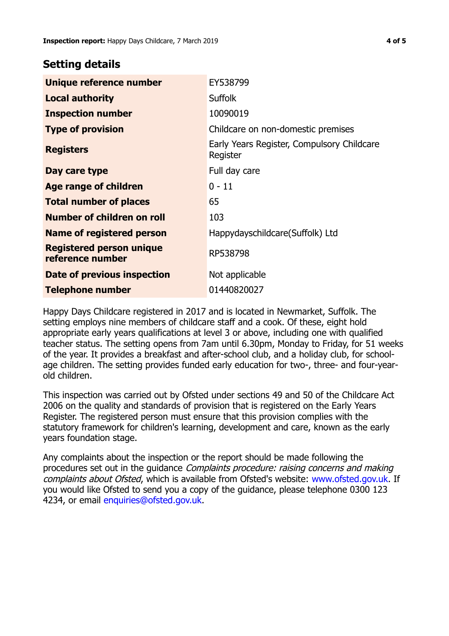## **Setting details**

| Unique reference number                             | EY538799                                               |  |
|-----------------------------------------------------|--------------------------------------------------------|--|
| <b>Local authority</b>                              | <b>Suffolk</b>                                         |  |
| <b>Inspection number</b>                            | 10090019                                               |  |
| <b>Type of provision</b>                            | Childcare on non-domestic premises                     |  |
| <b>Registers</b>                                    | Early Years Register, Compulsory Childcare<br>Register |  |
| Day care type                                       | Full day care                                          |  |
| Age range of children                               | $0 - 11$                                               |  |
| <b>Total number of places</b>                       | 65                                                     |  |
| Number of children on roll                          | 103                                                    |  |
| Name of registered person                           | Happydayschildcare(Suffolk) Ltd                        |  |
| <b>Registered person unique</b><br>reference number | RP538798                                               |  |
| Date of previous inspection                         | Not applicable                                         |  |
| <b>Telephone number</b>                             | 01440820027                                            |  |

Happy Days Childcare registered in 2017 and is located in Newmarket, Suffolk. The setting employs nine members of childcare staff and a cook. Of these, eight hold appropriate early years qualifications at level 3 or above, including one with qualified teacher status. The setting opens from 7am until 6.30pm, Monday to Friday, for 51 weeks of the year. It provides a breakfast and after-school club, and a holiday club, for schoolage children. The setting provides funded early education for two-, three- and four-yearold children.

This inspection was carried out by Ofsted under sections 49 and 50 of the Childcare Act 2006 on the quality and standards of provision that is registered on the Early Years Register. The registered person must ensure that this provision complies with the statutory framework for children's learning, development and care, known as the early years foundation stage.

Any complaints about the inspection or the report should be made following the procedures set out in the guidance Complaints procedure: raising concerns and making complaints about Ofsted, which is available from Ofsted's website: www.ofsted.gov.uk. If you would like Ofsted to send you a copy of the guidance, please telephone 0300 123 4234, or email [enquiries@ofsted.gov.uk.](mailto:enquiries@ofsted.gov.uk)